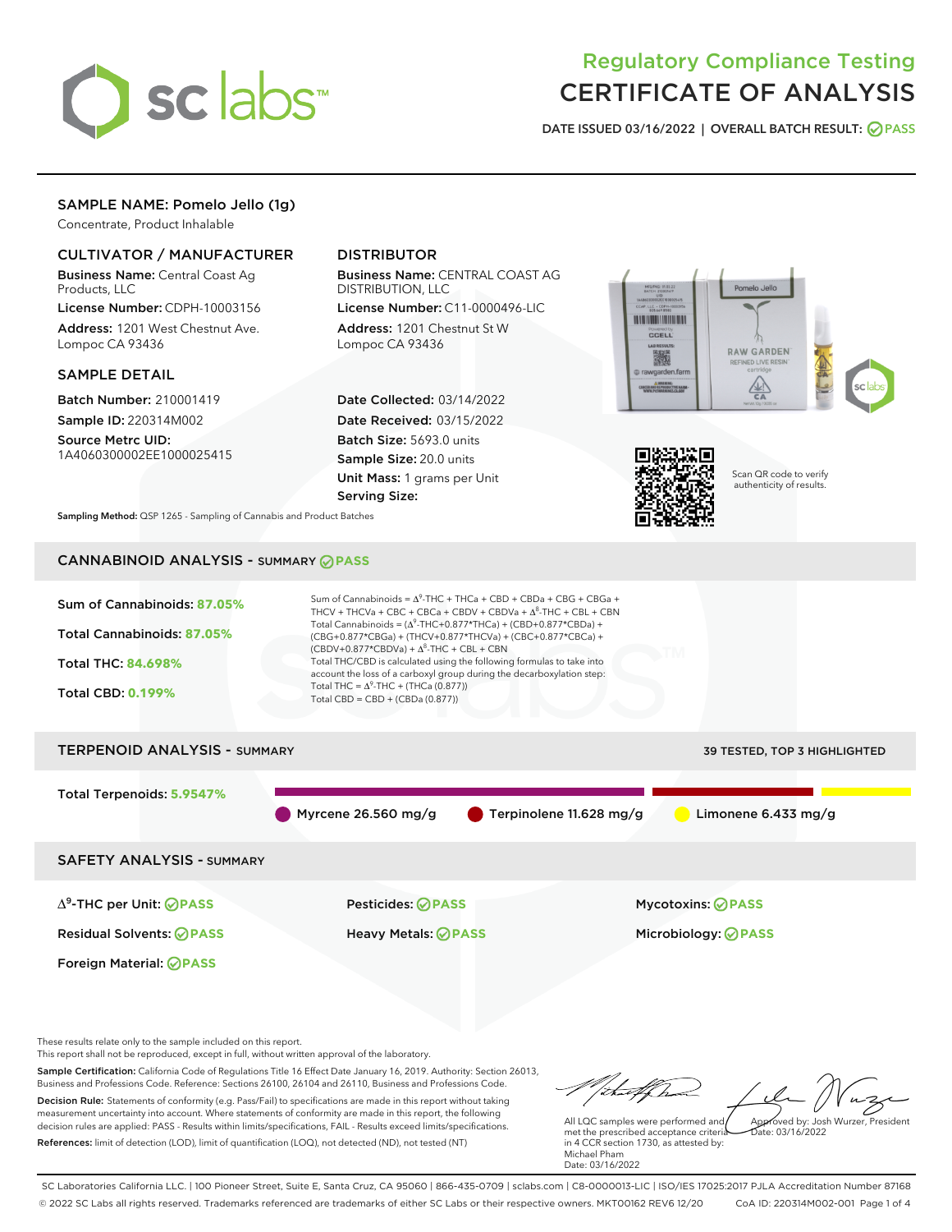

# Regulatory Compliance Testing CERTIFICATE OF ANALYSIS

DATE ISSUED 03/16/2022 | OVERALL BATCH RESULT: @ PASS

## SAMPLE NAME: Pomelo Jello (1g)

Concentrate, Product Inhalable

## CULTIVATOR / MANUFACTURER

Business Name: Central Coast Ag Products, LLC

License Number: CDPH-10003156 Address: 1201 West Chestnut Ave. Lompoc CA 93436

#### SAMPLE DETAIL

Batch Number: 210001419 Sample ID: 220314M002

Source Metrc UID: 1A4060300002EE1000025415

## DISTRIBUTOR

Business Name: CENTRAL COAST AG DISTRIBUTION, LLC

License Number: C11-0000496-LIC Address: 1201 Chestnut St W Lompoc CA 93436

Date Collected: 03/14/2022 Date Received: 03/15/2022 Batch Size: 5693.0 units Sample Size: 20.0 units Unit Mass: 1 grams per Unit Serving Size:





Scan QR code to verify authenticity of results.

Sampling Method: QSP 1265 - Sampling of Cannabis and Product Batches

## CANNABINOID ANALYSIS - SUMMARY **PASS**



These results relate only to the sample included on this report.

This report shall not be reproduced, except in full, without written approval of the laboratory.

Sample Certification: California Code of Regulations Title 16 Effect Date January 16, 2019. Authority: Section 26013, Business and Professions Code. Reference: Sections 26100, 26104 and 26110, Business and Professions Code. Decision Rule: Statements of conformity (e.g. Pass/Fail) to specifications are made in this report without taking measurement uncertainty into account. Where statements of conformity are made in this report, the following decision rules are applied: PASS - Results within limits/specifications, FAIL - Results exceed limits/specifications.

References: limit of detection (LOD), limit of quantification (LOQ), not detected (ND), not tested (NT)

that forma Approved by: Josh Wurzer, President

 $ate: 03/16/2022$ 

All LQC samples were performed and met the prescribed acceptance criteria in 4 CCR section 1730, as attested by: Michael Pham Date: 03/16/2022

SC Laboratories California LLC. | 100 Pioneer Street, Suite E, Santa Cruz, CA 95060 | 866-435-0709 | sclabs.com | C8-0000013-LIC | ISO/IES 17025:2017 PJLA Accreditation Number 87168 © 2022 SC Labs all rights reserved. Trademarks referenced are trademarks of either SC Labs or their respective owners. MKT00162 REV6 12/20 CoA ID: 220314M002-001 Page 1 of 4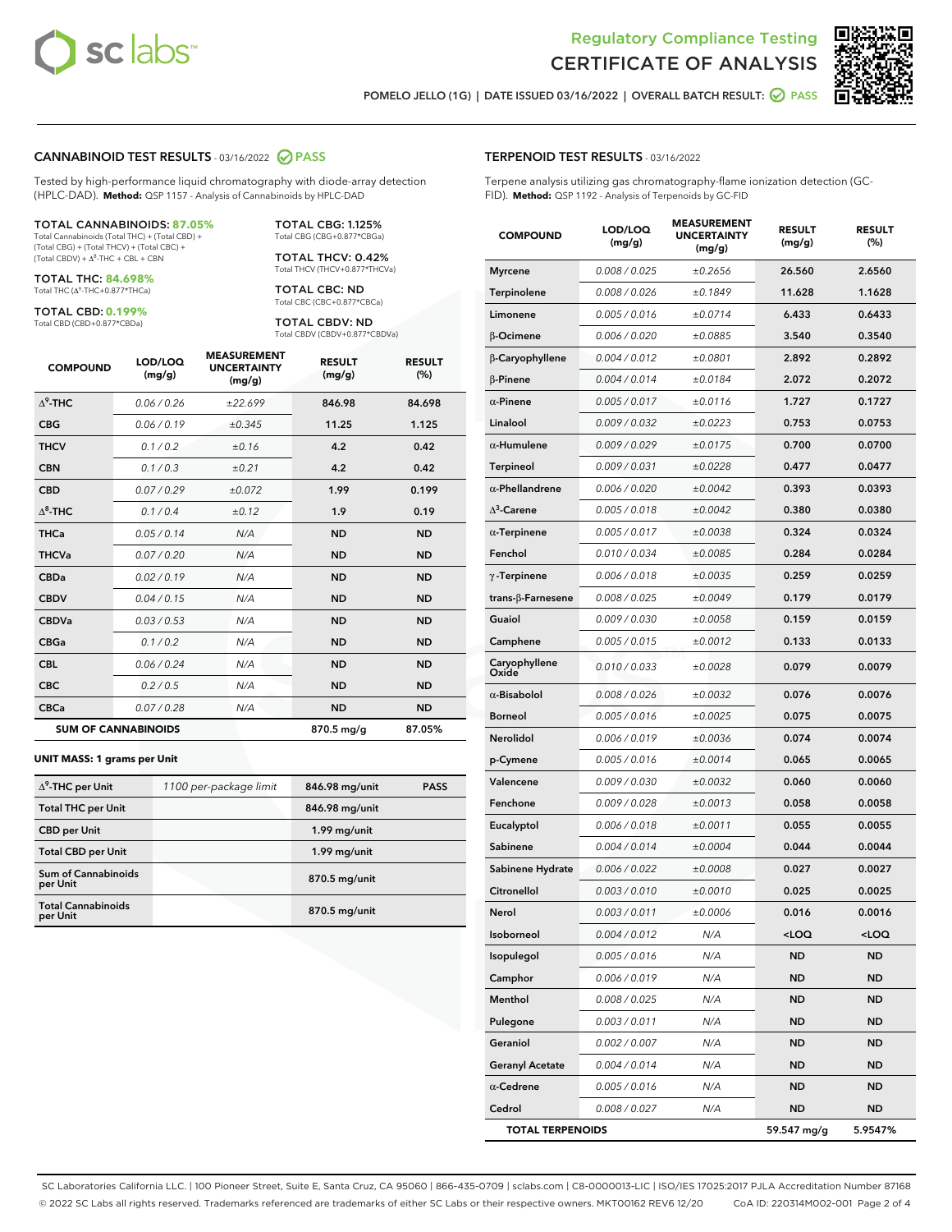



POMELO JELLO (1G) | DATE ISSUED 03/16/2022 | OVERALL BATCH RESULT: **⊘** PASS

#### CANNABINOID TEST RESULTS - 03/16/2022 2 PASS

Tested by high-performance liquid chromatography with diode-array detection (HPLC-DAD). **Method:** QSP 1157 - Analysis of Cannabinoids by HPLC-DAD

#### TOTAL CANNABINOIDS: **87.05%**

Total Cannabinoids (Total THC) + (Total CBD) + (Total CBG) + (Total THCV) + (Total CBC) +  $(Total CBDV) +  $\Delta^8$ -THC + CBL + CBN$ 

TOTAL THC: **84.698%** Total THC (Δ<sup>9</sup>-THC+0.877\*THCa)

TOTAL CBD: **0.199%**

Total CBD (CBD+0.877\*CBDa)

TOTAL CBG: 1.125% Total CBG (CBG+0.877\*CBGa)

TOTAL THCV: 0.42% Total THCV (THCV+0.877\*THCVa)

TOTAL CBC: ND Total CBC (CBC+0.877\*CBCa)

TOTAL CBDV: ND Total CBDV (CBDV+0.877\*CBDVa)

| <b>COMPOUND</b>            | LOD/LOQ<br>(mg/g) | <b>MEASUREMENT</b><br><b>UNCERTAINTY</b><br>(mg/g) | <b>RESULT</b><br>(mg/g) | <b>RESULT</b><br>(%) |
|----------------------------|-------------------|----------------------------------------------------|-------------------------|----------------------|
| $\Lambda^9$ -THC           | 0.06 / 0.26       | ±22.699                                            | 846.98                  | 84.698               |
| <b>CBG</b>                 | 0.06 / 0.19       | ±0.345                                             | 11.25                   | 1.125                |
| <b>THCV</b>                | 0.1 / 0.2         | ±0.16                                              | 4.2                     | 0.42                 |
| <b>CBN</b>                 | 0.1/0.3           | ±0.21                                              | 4.2                     | 0.42                 |
| <b>CBD</b>                 | 0.07/0.29         | ±0.072                                             | 1.99                    | 0.199                |
| $\Delta^8$ -THC            | 0.1 / 0.4         | ±0.12                                              | 1.9                     | 0.19                 |
| <b>THCa</b>                | 0.05/0.14         | N/A                                                | <b>ND</b>               | <b>ND</b>            |
| <b>THCVa</b>               | 0.07/0.20         | N/A                                                | <b>ND</b>               | <b>ND</b>            |
| <b>CBDa</b>                | 0.02/0.19         | N/A                                                | <b>ND</b>               | <b>ND</b>            |
| <b>CBDV</b>                | 0.04 / 0.15       | N/A                                                | <b>ND</b>               | <b>ND</b>            |
| <b>CBDVa</b>               | 0.03/0.53         | N/A                                                | <b>ND</b>               | <b>ND</b>            |
| <b>CBGa</b>                | 0.1/0.2           | N/A                                                | <b>ND</b>               | <b>ND</b>            |
| <b>CBL</b>                 | 0.06 / 0.24       | N/A                                                | <b>ND</b>               | <b>ND</b>            |
| <b>CBC</b>                 | 0.2 / 0.5         | N/A                                                | <b>ND</b>               | <b>ND</b>            |
| <b>CBCa</b>                | 0.07/0.28         | N/A                                                | <b>ND</b>               | <b>ND</b>            |
| <b>SUM OF CANNABINOIDS</b> |                   |                                                    | 870.5 mg/g              | 87.05%               |

#### **UNIT MASS: 1 grams per Unit**

| $\Delta^9$ -THC per Unit               | 1100 per-package limit | 846.98 mg/unit | <b>PASS</b> |
|----------------------------------------|------------------------|----------------|-------------|
| <b>Total THC per Unit</b>              |                        | 846.98 mg/unit |             |
| <b>CBD</b> per Unit                    |                        | 1.99 mg/unit   |             |
| <b>Total CBD per Unit</b>              |                        | 1.99 mg/unit   |             |
| <b>Sum of Cannabinoids</b><br>per Unit |                        | 870.5 mg/unit  |             |
| <b>Total Cannabinoids</b><br>per Unit  |                        | 870.5 mg/unit  |             |

| <b>TERPENOID TEST RESULTS - 03/16/2022</b> |  |  |
|--------------------------------------------|--|--|
|--------------------------------------------|--|--|

Terpene analysis utilizing gas chromatography-flame ionization detection (GC-FID). **Method:** QSP 1192 - Analysis of Terpenoids by GC-FID

| <b>COMPOUND</b>           | LOD/LOQ<br>(mg/g) | <b>MEASUREMENT</b><br><b>UNCERTAINTY</b><br>(mg/g) | <b>RESULT</b><br>(mg/g)                         | <b>RESULT</b><br>$(\%)$ |
|---------------------------|-------------------|----------------------------------------------------|-------------------------------------------------|-------------------------|
| <b>Myrcene</b>            | 0.008 / 0.025     | ±0.2656                                            | 26.560                                          | 2.6560                  |
| Terpinolene               | 0.008 / 0.026     | ±0.1849                                            | 11.628                                          | 1.1628                  |
| Limonene                  | 0.005 / 0.016     | ±0.0714                                            | 6.433                                           | 0.6433                  |
| β-Ocimene                 | 0.006 / 0.020     | ±0.0885                                            | 3.540                                           | 0.3540                  |
| β-Caryophyllene           | 0.004 / 0.012     | ±0.0801                                            | 2.892                                           | 0.2892                  |
| $\beta$ -Pinene           | 0.004 / 0.014     | ±0.0184                                            | 2.072                                           | 0.2072                  |
| $\alpha$ -Pinene          | 0.005 / 0.017     | ±0.0116                                            | 1.727                                           | 0.1727                  |
| Linalool                  | 0.009 / 0.032     | ±0.0223                                            | 0.753                                           | 0.0753                  |
| $\alpha$ -Humulene        | 0.009/0.029       | ±0.0175                                            | 0.700                                           | 0.0700                  |
| <b>Terpineol</b>          | 0.009 / 0.031     | ±0.0228                                            | 0.477                                           | 0.0477                  |
| $\alpha$ -Phellandrene    | 0.006 / 0.020     | ±0.0042                                            | 0.393                                           | 0.0393                  |
| $\Delta^3$ -Carene        | 0.005 / 0.018     | ±0.0042                                            | 0.380                                           | 0.0380                  |
| $\alpha$ -Terpinene       | 0.005 / 0.017     | ±0.0038                                            | 0.324                                           | 0.0324                  |
| Fenchol                   | 0.010 / 0.034     | ±0.0085                                            | 0.284                                           | 0.0284                  |
| $\gamma$ -Terpinene       | 0.006 / 0.018     | ±0.0035                                            | 0.259                                           | 0.0259                  |
| trans- $\beta$ -Farnesene | 0.008 / 0.025     | ±0.0049                                            | 0.179                                           | 0.0179                  |
| Guaiol                    | 0.009 / 0.030     | ±0.0058                                            | 0.159                                           | 0.0159                  |
| Camphene                  | 0.005 / 0.015     | ±0.0012                                            | 0.133                                           | 0.0133                  |
| Caryophyllene<br>Oxide    | 0.010 / 0.033     | ±0.0028                                            | 0.079                                           | 0.0079                  |
| $\alpha$ -Bisabolol       | 0.008 / 0.026     | ±0.0032                                            | 0.076                                           | 0.0076                  |
| <b>Borneol</b>            | 0.005 / 0.016     | ±0.0025                                            | 0.075                                           | 0.0075                  |
| Nerolidol                 | 0.006 / 0.019     | ±0.0036                                            | 0.074                                           | 0.0074                  |
| p-Cymene                  | 0.005 / 0.016     | ±0.0014                                            | 0.065                                           | 0.0065                  |
| Valencene                 | 0.009 / 0.030     | ±0.0032                                            | 0.060                                           | 0.0060                  |
| Fenchone                  | 0.009 / 0.028     | ±0.0013                                            | 0.058                                           | 0.0058                  |
| Eucalyptol                | 0.006 / 0.018     | ±0.0011                                            | 0.055                                           | 0.0055                  |
| Sabinene                  | 0.004 / 0.014     | ±0.0004                                            | 0.044                                           | 0.0044                  |
| Sabinene Hydrate          | 0.006 / 0.022     | ±0.0008                                            | 0.027                                           | 0.0027                  |
| Citronellol               | 0.003 / 0.010     | ±0.0010                                            | 0.025                                           | 0.0025                  |
| Nerol                     | 0.003 / 0.011     | ±0.0006                                            | 0.016                                           | 0.0016                  |
| Isoborneol                | 0.004 / 0.012     | N/A                                                | <loq< th=""><th><loq< th=""></loq<></th></loq<> | <loq< th=""></loq<>     |
| Isopulegol                | 0.005 / 0.016     | N/A                                                | ND                                              | ND                      |
| Camphor                   | 0.006 / 0.019     | N/A                                                | <b>ND</b>                                       | ND                      |
| Menthol                   | 0.008 / 0.025     | N/A                                                | ND                                              | ND                      |
| Pulegone                  | 0.003 / 0.011     | N/A                                                | ND                                              | ND                      |
| Geraniol                  | 0.002 / 0.007     | N/A                                                | <b>ND</b>                                       | ND                      |
| <b>Geranyl Acetate</b>    | 0.004 / 0.014     | N/A                                                | ND                                              | ND                      |
| $\alpha$ -Cedrene         | 0.005 / 0.016     | N/A                                                | ND                                              | ND                      |
| Cedrol                    | 0.008 / 0.027     | N/A                                                | <b>ND</b>                                       | ND                      |
| <b>TOTAL TERPENOIDS</b>   |                   |                                                    | 59.547 mg/g                                     | 5.9547%                 |

SC Laboratories California LLC. | 100 Pioneer Street, Suite E, Santa Cruz, CA 95060 | 866-435-0709 | sclabs.com | C8-0000013-LIC | ISO/IES 17025:2017 PJLA Accreditation Number 87168 © 2022 SC Labs all rights reserved. Trademarks referenced are trademarks of either SC Labs or their respective owners. MKT00162 REV6 12/20 CoA ID: 220314M002-001 Page 2 of 4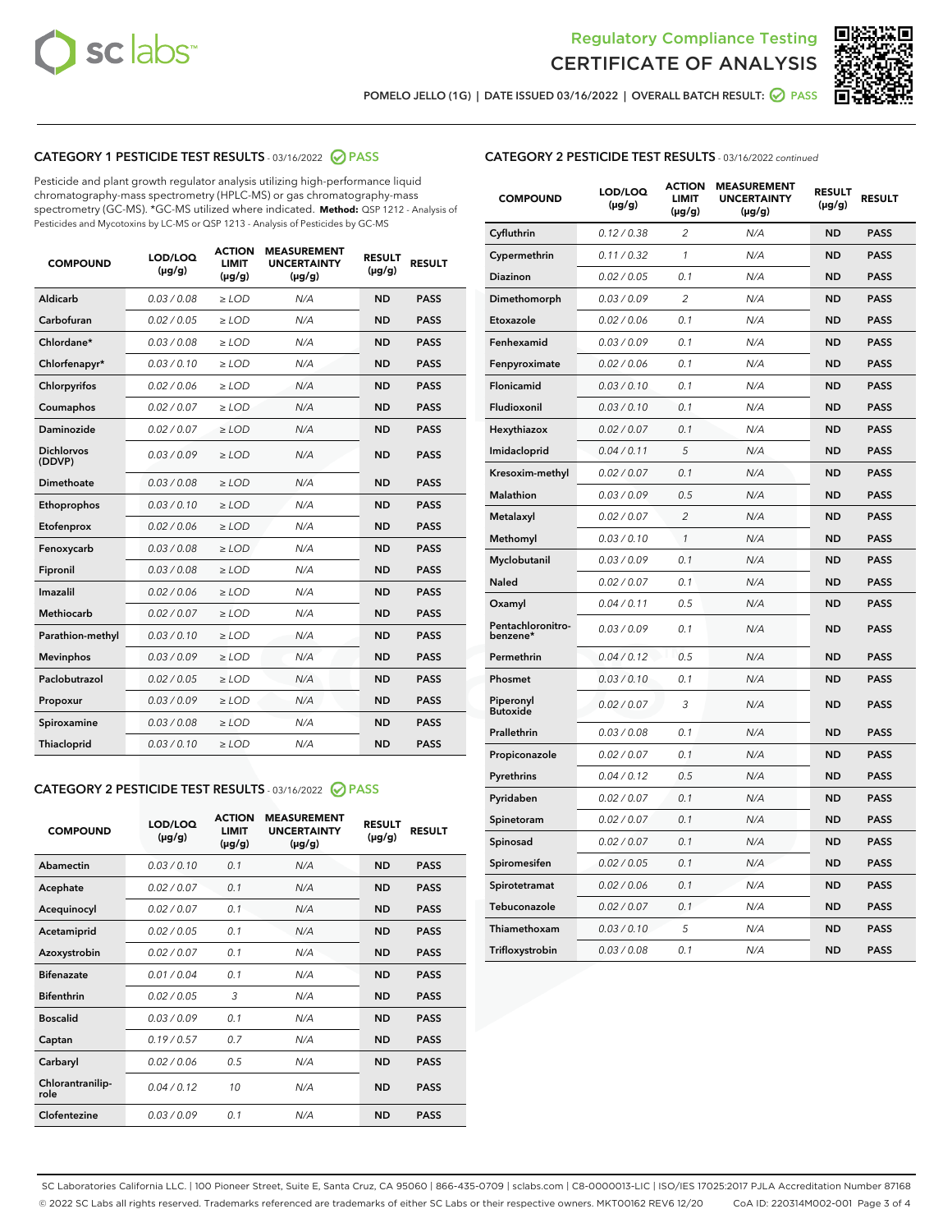



POMELO JELLO (1G) | DATE ISSUED 03/16/2022 | OVERALL BATCH RESULT:  $\bigcirc$  PASS

## CATEGORY 1 PESTICIDE TEST RESULTS - 03/16/2022 2 PASS

Pesticide and plant growth regulator analysis utilizing high-performance liquid chromatography-mass spectrometry (HPLC-MS) or gas chromatography-mass spectrometry (GC-MS). \*GC-MS utilized where indicated. **Method:** QSP 1212 - Analysis of Pesticides and Mycotoxins by LC-MS or QSP 1213 - Analysis of Pesticides by GC-MS

| <b>COMPOUND</b>             | LOD/LOQ<br>$(\mu g/g)$ | <b>ACTION</b><br><b>LIMIT</b><br>$(\mu g/g)$ | <b>MEASUREMENT</b><br><b>UNCERTAINTY</b><br>$(\mu g/g)$ | <b>RESULT</b><br>$(\mu g/g)$ | <b>RESULT</b> |
|-----------------------------|------------------------|----------------------------------------------|---------------------------------------------------------|------------------------------|---------------|
| Aldicarb                    | 0.03 / 0.08            | $\ge$ LOD                                    | N/A                                                     | <b>ND</b>                    | <b>PASS</b>   |
| Carbofuran                  | 0.02 / 0.05            | $\ge$ LOD                                    | N/A                                                     | <b>ND</b>                    | <b>PASS</b>   |
| Chlordane*                  | 0.03 / 0.08            | $\ge$ LOD                                    | N/A                                                     | <b>ND</b>                    | <b>PASS</b>   |
| Chlorfenapyr*               | 0.03/0.10              | $\ge$ LOD                                    | N/A                                                     | <b>ND</b>                    | <b>PASS</b>   |
| Chlorpyrifos                | 0.02/0.06              | $>$ LOD                                      | N/A                                                     | <b>ND</b>                    | <b>PASS</b>   |
| Coumaphos                   | 0.02 / 0.07            | $\ge$ LOD                                    | N/A                                                     | <b>ND</b>                    | <b>PASS</b>   |
| Daminozide                  | 0.02 / 0.07            | $\ge$ LOD                                    | N/A                                                     | <b>ND</b>                    | <b>PASS</b>   |
| <b>Dichlorvos</b><br>(DDVP) | 0.03/0.09              | $\ge$ LOD                                    | N/A                                                     | <b>ND</b>                    | <b>PASS</b>   |
| <b>Dimethoate</b>           | 0.03 / 0.08            | $\ge$ LOD                                    | N/A                                                     | <b>ND</b>                    | <b>PASS</b>   |
| Ethoprophos                 | 0.03/0.10              | $\ge$ LOD                                    | N/A                                                     | <b>ND</b>                    | <b>PASS</b>   |
| Etofenprox                  | 0.02 / 0.06            | $\ge$ LOD                                    | N/A                                                     | <b>ND</b>                    | <b>PASS</b>   |
| Fenoxycarb                  | 0.03/0.08              | $>$ LOD                                      | N/A                                                     | <b>ND</b>                    | <b>PASS</b>   |
| Fipronil                    | 0.03 / 0.08            | $>$ LOD                                      | N/A                                                     | <b>ND</b>                    | <b>PASS</b>   |
| Imazalil                    | 0.02 / 0.06            | $\ge$ LOD                                    | N/A                                                     | <b>ND</b>                    | <b>PASS</b>   |
| Methiocarb                  | 0.02 / 0.07            | $\ge$ LOD                                    | N/A                                                     | <b>ND</b>                    | <b>PASS</b>   |
| Parathion-methyl            | 0.03/0.10              | $\ge$ LOD                                    | N/A                                                     | <b>ND</b>                    | <b>PASS</b>   |
| <b>Mevinphos</b>            | 0.03/0.09              | $\ge$ LOD                                    | N/A                                                     | <b>ND</b>                    | <b>PASS</b>   |
| Paclobutrazol               | 0.02 / 0.05            | $\ge$ LOD                                    | N/A                                                     | <b>ND</b>                    | <b>PASS</b>   |
| Propoxur                    | 0.03/0.09              | $\ge$ LOD                                    | N/A                                                     | <b>ND</b>                    | <b>PASS</b>   |
| Spiroxamine                 | 0.03 / 0.08            | $>$ LOD                                      | N/A                                                     | <b>ND</b>                    | <b>PASS</b>   |
| Thiacloprid                 | 0.03/0.10              | $\ge$ LOD                                    | N/A                                                     | <b>ND</b>                    | <b>PASS</b>   |

## CATEGORY 2 PESTICIDE TEST RESULTS - 03/16/2022 @ PASS

| <b>COMPOUND</b>          | LOD/LOO<br>$(\mu g/g)$ | <b>ACTION</b><br><b>LIMIT</b><br>(µg/g) | <b>MEASUREMENT</b><br><b>UNCERTAINTY</b><br>$(\mu g/g)$ | <b>RESULT</b><br>$(\mu g/g)$ | <b>RESULT</b> |  |
|--------------------------|------------------------|-----------------------------------------|---------------------------------------------------------|------------------------------|---------------|--|
| Abamectin                | 0.03/0.10              | 0.1                                     | N/A                                                     | <b>ND</b>                    | <b>PASS</b>   |  |
| Acephate                 | 0.02/0.07              | 0.1                                     | N/A                                                     | <b>ND</b>                    | <b>PASS</b>   |  |
| Acequinocyl              | 0.02/0.07              | 0.1                                     | N/A                                                     | <b>ND</b>                    | <b>PASS</b>   |  |
| Acetamiprid              | 0.02/0.05              | 0.1                                     | N/A                                                     | <b>ND</b>                    | <b>PASS</b>   |  |
| Azoxystrobin             | 0.02/0.07              | 0.1                                     | N/A                                                     | <b>ND</b>                    | <b>PASS</b>   |  |
| <b>Bifenazate</b>        | 0.01/0.04              | 0.1                                     | N/A                                                     | <b>ND</b>                    | <b>PASS</b>   |  |
| <b>Bifenthrin</b>        | 0.02/0.05              | 3                                       | N/A                                                     | <b>ND</b>                    | <b>PASS</b>   |  |
| <b>Boscalid</b>          | 0.03/0.09              | 0.1                                     | N/A                                                     | <b>ND</b>                    | <b>PASS</b>   |  |
| Captan                   | 0.19/0.57              | 0.7                                     | N/A                                                     | <b>ND</b>                    | <b>PASS</b>   |  |
| Carbaryl                 | 0.02/0.06              | 0.5                                     | N/A                                                     | <b>ND</b>                    | <b>PASS</b>   |  |
| Chlorantranilip-<br>role | 0.04/0.12              | 10                                      | N/A                                                     | <b>ND</b>                    | <b>PASS</b>   |  |
| Clofentezine             | 0.03/0.09              | 0.1                                     | N/A                                                     | <b>ND</b>                    | <b>PASS</b>   |  |

| <b>COMPOUND</b>               | LOD/LOQ<br>(µg/g) | <b>ACTION</b><br><b>LIMIT</b><br>(µg/g) | <b>MEASUREMENT</b><br><b>UNCERTAINTY</b><br>$(\mu g/g)$ | <b>RESULT</b><br>(µg/g) | <b>RESULT</b> |
|-------------------------------|-------------------|-----------------------------------------|---------------------------------------------------------|-------------------------|---------------|
| Cyfluthrin                    | 0.12 / 0.38       | $\overline{c}$                          | N/A                                                     | <b>ND</b>               | <b>PASS</b>   |
| Cypermethrin                  | 0.11 / 0.32       | 1                                       | N/A                                                     | <b>ND</b>               | <b>PASS</b>   |
| <b>Diazinon</b>               | 0.02 / 0.05       | 0.1                                     | N/A                                                     | <b>ND</b>               | <b>PASS</b>   |
| Dimethomorph                  | 0.03 / 0.09       | 2                                       | N/A                                                     | <b>ND</b>               | <b>PASS</b>   |
| Etoxazole                     | 0.02 / 0.06       | 0.1                                     | N/A                                                     | <b>ND</b>               | <b>PASS</b>   |
| Fenhexamid                    | 0.03 / 0.09       | 0.1                                     | N/A                                                     | <b>ND</b>               | <b>PASS</b>   |
| Fenpyroximate                 | 0.02 / 0.06       | 0.1                                     | N/A                                                     | <b>ND</b>               | <b>PASS</b>   |
| Flonicamid                    | 0.03 / 0.10       | 0.1                                     | N/A                                                     | <b>ND</b>               | <b>PASS</b>   |
| Fludioxonil                   | 0.03 / 0.10       | 0.1                                     | N/A                                                     | <b>ND</b>               | <b>PASS</b>   |
| Hexythiazox                   | 0.02 / 0.07       | 0.1                                     | N/A                                                     | <b>ND</b>               | <b>PASS</b>   |
| Imidacloprid                  | 0.04 / 0.11       | 5                                       | N/A                                                     | <b>ND</b>               | <b>PASS</b>   |
| Kresoxim-methyl               | 0.02 / 0.07       | 0.1                                     | N/A                                                     | <b>ND</b>               | <b>PASS</b>   |
| <b>Malathion</b>              | 0.03 / 0.09       | 0.5                                     | N/A                                                     | <b>ND</b>               | <b>PASS</b>   |
| Metalaxyl                     | 0.02 / 0.07       | $\overline{2}$                          | N/A                                                     | <b>ND</b>               | <b>PASS</b>   |
| Methomyl                      | 0.03 / 0.10       | 1                                       | N/A                                                     | <b>ND</b>               | <b>PASS</b>   |
| Myclobutanil                  | 0.03 / 0.09       | 0.1                                     | N/A                                                     | <b>ND</b>               | <b>PASS</b>   |
| Naled                         | 0.02 / 0.07       | 0.1                                     | N/A                                                     | <b>ND</b>               | <b>PASS</b>   |
| Oxamyl                        | 0.04 / 0.11       | 0.5                                     | N/A                                                     | <b>ND</b>               | <b>PASS</b>   |
| Pentachloronitro-<br>benzene* | 0.03 / 0.09       | 0.1                                     | N/A                                                     | <b>ND</b>               | <b>PASS</b>   |
| Permethrin                    | 0.04 / 0.12       | 0.5                                     | N/A                                                     | <b>ND</b>               | <b>PASS</b>   |
| Phosmet                       | 0.03 / 0.10       | 0.1                                     | N/A                                                     | <b>ND</b>               | <b>PASS</b>   |
| Piperonyl<br><b>Butoxide</b>  | 0.02 / 0.07       | 3                                       | N/A                                                     | <b>ND</b>               | <b>PASS</b>   |
| Prallethrin                   | 0.03 / 0.08       | 0.1                                     | N/A                                                     | <b>ND</b>               | <b>PASS</b>   |
| Propiconazole                 | 0.02 / 0.07       | 0.1                                     | N/A                                                     | <b>ND</b>               | <b>PASS</b>   |
| Pyrethrins                    | 0.04 / 0.12       | 0.5                                     | N/A                                                     | <b>ND</b>               | <b>PASS</b>   |
| Pyridaben                     | 0.02 / 0.07       | 0.1                                     | N/A                                                     | <b>ND</b>               | <b>PASS</b>   |
| Spinetoram                    | 0.02 / 0.07       | 0.1                                     | N/A                                                     | <b>ND</b>               | <b>PASS</b>   |
| Spinosad                      | 0.02 / 0.07       | 0.1                                     | N/A                                                     | <b>ND</b>               | <b>PASS</b>   |
| Spiromesifen                  | 0.02 / 0.05       | 0.1                                     | N/A                                                     | <b>ND</b>               | <b>PASS</b>   |
| Spirotetramat                 | 0.02 / 0.06       | 0.1                                     | N/A                                                     | <b>ND</b>               | <b>PASS</b>   |
| Tebuconazole                  | 0.02 / 0.07       | 0.1                                     | N/A                                                     | ND                      | <b>PASS</b>   |
| Thiamethoxam                  | 0.03 / 0.10       | 5                                       | N/A                                                     | <b>ND</b>               | <b>PASS</b>   |
| Trifloxystrobin               | 0.03 / 0.08       | 0.1                                     | N/A                                                     | <b>ND</b>               | <b>PASS</b>   |

SC Laboratories California LLC. | 100 Pioneer Street, Suite E, Santa Cruz, CA 95060 | 866-435-0709 | sclabs.com | C8-0000013-LIC | ISO/IES 17025:2017 PJLA Accreditation Number 87168 © 2022 SC Labs all rights reserved. Trademarks referenced are trademarks of either SC Labs or their respective owners. MKT00162 REV6 12/20 CoA ID: 220314M002-001 Page 3 of 4